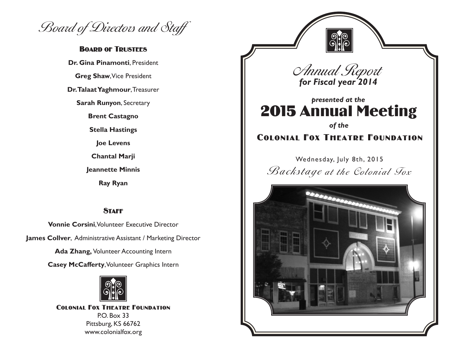Board of Directors and Staff

## **BOARD OF TRUSTEES**

**Dr. Gina Pinamonti**, President **Greg Shaw**, Vice President **Dr. Talaat Yaghmour**, Treasurer **Sarah Runyon**, Secretary **Brent Castagno Stella Hastings Joe Levens Chantal Marji Jeannette Minnis Ray Ryan**

## **STAFF**

**Vonnie Corsini**, Volunteer Executive Director **James Collver**, Administrative Assistant / Marketing Director

**Ada Zhang,** Volunteer Accounting Intern

**Casey McCafferty**, Volunteer Graphics Intern



Colonial Fox Theatre Foundation P.O. Box 33 Pittsburg, KS 66762 www.colonialfox.org

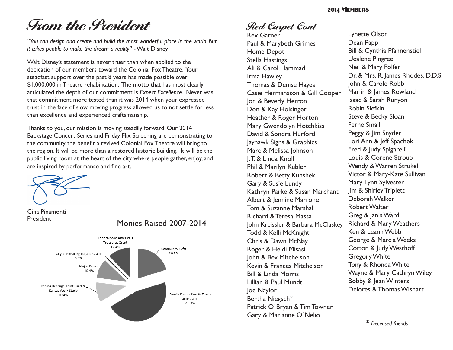#### 2014 Members

# **From the President**

*"You can design and create and build the most wonderful place in the world. But it takes people to make the dream a reality"* - Walt Disney

Walt Disney's statement is never truer than when applied to the dedication of our members toward the Colonial Fox Theatre. Your steadfast support over the past 8 years has made possible over \$1,000,000 in Theatre rehabilitation. The motto that has most clearly articulated the depth of our commitment is *Expect Excellence.* Never was that commitment more tested than it was 2014 when your expressed trust in the face of slow moving progress allowed us to not settle for less than excellence and experienced craftsmanship.

Thanks to you, our mission is moving steadily forward. Our 2014 Backstage Concert Series and Friday Flix Screening are demonstrating to the community the benefit a revived Colonial Fox Theatre will bring to the region. It will be more than a restored historic building. It will be the public living room at the heart of the city where people gather, enjoy, and are inspired by performance and fine art.



Gina Pinamonti President Monies Raised 2007-2014



# **Red Carpet Cont**

Rex Garner Paul & Marybeth Grimes Home Depot Stella Hastings Ali & Carol Hammad Irma Hawley Thomas & Denise Hayes Casie Hermansson & Gill Cooper Jon & Beverly Herron Don & Kay Holsinger Heather & Roger Horton Mary Gwendolyn Hotchkiss David & Sondra Hurford Jayhawk Signs & Graphics Marc & Melissa Johnson J. T. & Linda Knoll Phil & Marilyn Kubler Robert & Betty Kunshek Gary & Susie Lundy Kathryn Parke & Susan Marchant Albert & Jennine Marrone Tom & Suzanne Marshall Richard & Teresa Massa John Kreissler & Barbara McClaskey Todd & Kelli McKnight Chris & Dawn McNay Roger & Heidi Misasi John & Bev Mitchelson Kevin & Frances Mitchelson Bill & Linda Morris Lillian & Paul Mundt Joe Naylor Bertha Niegsch\* Patrick O`Bryan & Tim Towner Gary & Marianne O`Nelio

Lynette Olson Dean Papp Bill & Cynthia Pfannenstiel Uealene Pingree Neil & Mary Polfer Dr. & Mrs. R. James Rhodes, D.D.S. John & Carole Robb Marlin & James Rowland Isaac & Sarah Runyon Robin Siefkin Steve & Becky Sloan Ferne Small Peggy & Jim Snyder Lori Ann & Jeff Spachek Fred & Judy Spigarelli Louis & Corene Stroup Wendy & Warren Strukel Victor & Mary-Kate Sullivan Mary Lynn Sylvester Jim & Shirley Triplett Deborah Walker Robert Walter Greg & Janis Ward Richard & Mary Weathers Ken & Leann Webb George & Marcia Weeks Cotton & Judy Westhoff Gregory White Tony & Rhonda White Wayne & Mary Cathryn Wiley Bobby & Jean Winters Delores & Thomas Wishart

\* *Deceased friends*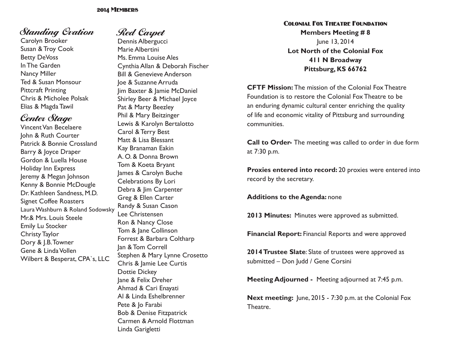# **Standing Ovation**

Carolyn Brooker Susan & Troy Cook Betty DeVoss In The Garden Nancy Miller Ted & Susan Monsour Pittcraft Printing Chris & Micholee Polsak Elias & Magda Tawil

# **Center Stage**

Vincent Van Becelaere John & Ruth Courter Patrick & Bonnie Crossland Barry & Joyce Draper Gordon & Luella House Holiday Inn Express Jeremy & Megan Johnson Kenny & Bonnie McDougle Dr. Kathleen Sandness, M.D. Signet Coffee Roasters Laura Washburn & Roland Sodowsky Mr.& Mrs. Louis Steele Emily Lu Stocker Christy Taylor Dory & J.B. Towner Gene & Linda Vollen Wilbert & Besperat, CPA`s, LLC

# **Red Carpet**

Dennis Albergucci Marie Albertini Ms. Emma Louise Ales Cynthia Allan & Deborah Fischer Bill & Genevieve Anderson Joe & Suzanne Arruda Jim Baxter & Jamie McDaniel Shirley Beer & Michael Joyce Pat & Marty Beezley Phil & Mary Beitzinger Lewis & Karolyn Bertalotto Carol & Terry Best Matt & Lisa Blessant Kay Branaman Eakin A. O. & Donna Brown Tom & Koeta Bryant James & Carolyn Buche Celebrations By Lori Debra & Jim Carpenter Greg & Ellen Carter Randy & Susan Cason Lee Christensen Ron & Nancy Close Tom & Jane Collinson Forrest & Barbara Coltharp Jan & Tom Correll Stephen & Mary Lynne Crosetto Chris & Jamie Lee Curtis Dottie Dickey Jane & Felix Dreher Ahmad & Cari Enayati Al & Linda Eshelbrenner Pete & Jo Farabi Bob & Denise Fitzpatrick Carmen & Arnold Flottman Linda Garigletti

## Colonial Fox Theatre Foundation **Members Meeting # 8** June 13, 2014 **Lot North of the Colonial Fox 411 N Broadway Pittsburg, KS 66762**

**CFTF Mission:** The mission of the Colonial Fox Theatre Foundation is to restore the Colonial Fox Theatre to be an enduring dynamic cultural center enriching the quality of life and economic vitality of Pittsburg and surrounding communities.

**Call to Order-** The meeting was called to order in due form at 7:30 p.m.

**Proxies entered into record:** 20 proxies were entered into record by the secretary.

**Additions to the Agenda:** none

**2013 Minutes:** Minutes were approved as submitted.

**Financial Report:** Financial Reports and were approved

**2014 Trustee Slate**: Slate of trustees were approved as submitted – Don Judd / Gene Corsini

**Meeting Adjourned -** Meeting adjourned at 7:45 p.m.

**Next meeting:** June, 2015 - 7:30 p.m. at the Colonial Fox Theatre.